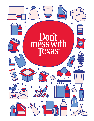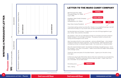# WRITING A PERSUASIVE LETTER  $\mathbf{u}$ ERSUASIVE  $\overline{\mathbf{a}}$ q **URITING**

# Persuasion CHART CHART Persuasion

| (purpose)                               | Organize your reasons here. | <b>MOST IMPORTANT</b> |  | <b>LEAST IMPORTANT</b> |
|-----------------------------------------|-----------------------------|-----------------------|--|------------------------|
| $\overline{C}$                          |                             |                       |  |                        |
| (audience)<br>TOPIC: I want to persuade | Brainstorm reasons here.    |                       |  |                        |

## **LETTER TO THE M/**

560 Moorpark Rd., #236 Thousand Oaks, CA 91360 4 July 11, 1995

President, Mars Candy Company High Street Hackettstown, NJ 07840

Dear Mars Candy President:  $\leftarrow$ 

Sincerely yours, Ted L. Nancy

I have been eating candy my entire life. People in my neighborhood say I can tell what kind of candy is in my mouth with my eyes blindfolded.

My favorites bars are Snickers. It seems you mix a lot of things together to get your candy. Nuts, caramel, chocolate.

My question: How can you add peanut butter to a Snickers and call it a Peanut Butter Snickers? It's no longer a Snickers. The peanut butter is a brand new candy and should get its own name.

Also, how about this for a new candy bar – picture a Butterfinger – only instead of peanut butter the center is banana. Crunchy banana. With the texture and consistency similar to a Butterfingers inside. You could call it a "Nanacrumble."

Also, the name Snickers is bad. Sounds like somebody is laughing at you. Can it be changed? How 'bout "Snuuckers." Make it sound like the Hagen Dazs people with a foreign name.

Thanks for years and years of chocolate heaven. (I gave up on the skin a long time ago.)

Is there any way to get information about what new candy bars you are planning to introduce? Thanks for taking the time to read my letter. I hope I hear from you. Chocolate! It's our best snack!

*Source: Reading Rocket Source: Scholastic*

### PERSUASIVE LETTER • *Preuvile* 2001 Don't mess with Texas 2001 Don't mess with Texas 2008 PERSUASIVE LETTER

| ARS CANDY COMPANY     |             |
|-----------------------|-------------|
| <b>Heading</b>        |             |
| <b>Inside Address</b> |             |
| <b>Salutation</b>     | <b>Body</b> |
|                       |             |

### **Signature**

# **2 3**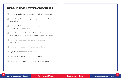# PERSUASIVE LETTER CHECKLIST I know my audience and have an appealing introduction. I have clearly described the product, service, or idea I am promoting. I have detailed reasons that make my argument worthwhile and convincing. I have stated clearly the action that I would like my reader to take (or what my reader should do) and how I can assist. I know my reader's objections and have suggested the answers. I have told my reader how they can contact me. My letter is concise and interesting. The tone of my letter is courteous and professional. I have used at least five "powerful words" in my letter.

*Source: Scholastic*



### PERSUASIVE LETTER • *Checklist* Persuasive Letter • Movies Point Mexas Persuasive Letter • Movies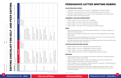# PERSUASIVE LETTER WRITING RUBRIC

### SALUTATION AND CLOSING

- \_\_\_ Salutation and closing have no errors in capitalization and punctuation.
- \_\_\_ Salutation and closing have 1-2 errors in capitalization and punctuation.
- 
- \_\_\_ Salutation and/or closing are missing.

\_\_\_ Salutation and closing have 3 or more errors in capitalization and punctuation.

### GRAMMAR & SPELLING (CONVENTIONS)

- \_\_\_ Writer makes no errors in grammar or spelling.
- \_\_\_ Writer makes 1-2 errors in grammar and/or spelling.
- \_\_\_ Writer makes 3-4 errors in grammar and/or spelling
- \_\_\_ Writer makes more than 4 errors in grammar and/or spelling.

### IDEAS

\_\_\_ Ideas were expressed in a clear and organized fashion. It was easy to figure out

\_\_\_ Ideas were expressed in a pretty clear manner, but the organization could have

\_\_\_ Ideas were somewhat organized, but were not very clear. It took more than one

- what the letter was about.
- been better.
- reading to figure out what the letter was about.
- figure out what the letter was about.

\_\_\_ The letter seemed to be a collection of unrelated sentences. It was very difficult to

Author's Name: Author's Name:

## EDITING CHECKLIST FOR SELF- AND PEER EDITING  $\blacksquare$ **I** 62 **LL LL** Ω  $\blacksquare$ E ш **U** Œ  $\overline{\mathbf{o}}$ Lц,  $\bullet$ H  $\mathbf{\Omega}$ U  $\blacksquare$  $\blacksquare$ **Lui**

U

Edit **Directions:** Edit your written work using the Self-Edit columns, fixing any errors you notice. Then, have a peer complete the Peer Edit complete the Peer peer have a Then, notice. errors you fixing any columns, Self-Edit using the work written columns while you observe. Edit your Directions:

### CAPITALIZATION AND PUNCTUATION

- \_\_\_ Writer makes no errors in capitalization and punctuation.
- \_\_\_ Writer makes 1-2 errors in capitalization and punctuation.
- \_\_\_ Writer makes 3-4 errors in capitalization and punctuation.
- \_\_\_ Writer makes more than 4 errors in capitalization and punctuation.

### NEATNESS

\_\_\_ Letter is typed, clean, not wrinkled, and is easy to read with no distracting error

- corrections. It was done with pride.
- \_\_\_ Letter is neatly hand-written, clean, not wrinkled, and is easy to read with no distracting error corrections. It was done with care.
- \_\_\_ Letter is typed and is crumpled or slightly stained. It may have 1-2 distracting error corrections. It was done with some care.
- \_\_\_ Letter is typed and looks like it had been shoved in a pocket or locker. It may have several distracting error corrections. It looks like it was done in a hurry or stored improperly.

| JOURNAL MARY MELIN ALL LINDJ |                                                                                                                                     |                                                       |                                                                                                                                       |                                                       |                          |
|------------------------------|-------------------------------------------------------------------------------------------------------------------------------------|-------------------------------------------------------|---------------------------------------------------------------------------------------------------------------------------------------|-------------------------------------------------------|--------------------------|
|                              | <b>SELF-EDIT</b>                                                                                                                    |                                                       |                                                                                                                                       | PEER-EDIT                                             |                          |
|                              | Checklist Items                                                                                                                     | After completing<br>each step, place<br>a check here. | Checklist Items                                                                                                                       | After completing<br>each step, place<br>a check here. | Comments and Suggestions |
| Punctuation                  | to see where to stop or pause<br>I read my written piece aloud<br>for periods, question marks,<br>exclamation marks, and<br>commas. |                                                       | aloud to see where to stop or<br>pause for periods, question<br>marks, exclamation marks,<br>I read the author's piece<br>and commas. |                                                       |                          |
|                              | Quotation marks are included<br>where needed.                                                                                       |                                                       | Quotation marks are included<br>where needed.                                                                                         |                                                       |                          |
| Capital Letters              | I checked for capitals at the<br>beginning of sentences.                                                                            |                                                       | I checked for capitals at the<br>beginning of sentences.                                                                              |                                                       |                          |
|                              | Proper nouns begin with<br>capital letters.                                                                                         |                                                       | Proper nouns begin with<br>capital letters.                                                                                           |                                                       |                          |
| Grammar                      | thoughts and contain a noun<br>My sentences are complete<br>and a verb.                                                             |                                                       | thoughts and contain a noun<br>Sentences are complete<br>and a verb.                                                                  |                                                       |                          |
|                              | I don't have any run-on<br>sentences.                                                                                               |                                                       | There are no run-on<br>sentences.                                                                                                     |                                                       |                          |
| Spelling                     | the words that didn't look right.<br>I checked spelling and fixed                                                                   |                                                       | Spelling is correct.                                                                                                                  |                                                       |                          |

Peer's Name:

Peer's Name:

Date:

Date:

*Source: ReadWriteThink Source: Scholastic*

**6**